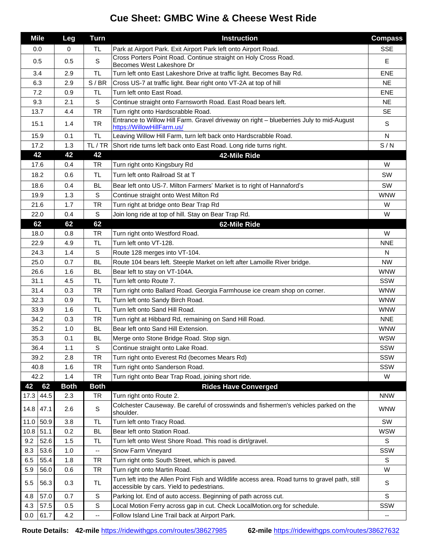## **Cue Sheet: GMBC Wine & Cheese West Ride**

|              | <b>Mile</b>  | Leg         | <b>Turn</b>              | <b>Instruction</b>                                                                                                    | <b>Compass</b>           |
|--------------|--------------|-------------|--------------------------|-----------------------------------------------------------------------------------------------------------------------|--------------------------|
| 0.0          |              | 0           | <b>TL</b>                | Park at Airport Park. Exit Airport Park left onto Airport Road.                                                       | <b>SSE</b>               |
| 0.5          |              | 0.5         | $\mathbb S$              | Cross Porters Point Road. Continue straight on Holy Cross Road.<br>Becomes West Lakeshore Dr                          | Е                        |
|              | 3.4          | 2.9         | <b>TL</b>                | Turn left onto East Lakeshore Drive at traffic light. Becomes Bay Rd.                                                 | <b>ENE</b>               |
| 6.3          |              | 2.9         | S/BR                     | Cross US-7 at traffic light. Bear right onto VT-2A at top of hill                                                     | <b>NE</b>                |
| 7.2          |              | 0.9         | TL.                      | Turn left onto East Road.                                                                                             | <b>ENE</b>               |
| 9.3          |              | 2.1         | $\mathbb S$              | Continue straight onto Farnsworth Road. East Road bears left.                                                         | <b>NE</b>                |
| 13.7         |              | 4.4         | <b>TR</b>                | Turn right onto Hardscrabble Road.                                                                                    | <b>SE</b>                |
| 15.1         |              | 1.4         | TR.                      | Entrance to Willow Hill Farm. Gravel driveway on right - blueberries July to mid-August<br>https://WillowHillFarm.us/ | S                        |
| 15.9         |              | 0.1         | <b>TL</b>                | Leaving Willow Hill Farm, turn left back onto Hardscrabble Road.                                                      | N                        |
| 17.2         |              | 1.3         |                          | TL / TR Short ride turns left back onto East Road. Long ride turns right.                                             | S/N                      |
|              | 42           | 42          | 42                       | 42-Mile Ride                                                                                                          |                          |
| 17.6         |              | 0.4         | <b>TR</b>                | Turn right onto Kingsbury Rd                                                                                          | W                        |
| 18.2         |              | 0.6         | TL.                      | Turn left onto Railroad St at T                                                                                       | SW                       |
| 18.6         |              | 0.4         | <b>BL</b>                | Bear left onto US-7. Milton Farmers' Market is to right of Hannaford's                                                | SW                       |
| 19.9         |              | 1.3         | S                        | Continue straight onto West Milton Rd                                                                                 | <b>WNW</b>               |
| 21.6         |              | 1.7         | <b>TR</b>                | Turn right at bridge onto Bear Trap Rd                                                                                | W                        |
| 22.0         |              | 0.4         | $\mathsf S$              | Join long ride at top of hill. Stay on Bear Trap Rd.                                                                  | W                        |
|              | 62           | 62          | 62                       | 62-Mile Ride                                                                                                          |                          |
| 18.0         |              | 0.8         | <b>TR</b>                | Turn right onto Westford Road.                                                                                        | W                        |
| 22.9         |              | 4.9         | TL.                      | Turn left onto VT-128.                                                                                                | <b>NNE</b>               |
| 24.3         |              | 1.4         | $\mathbb S$              | Route 128 merges into VT-104.                                                                                         | N                        |
| 25.0         |              | 0.7         | <b>BL</b>                | Route 104 bears left. Steeple Market on left after Lamoille River bridge.                                             | <b>NW</b>                |
| 26.6         |              | 1.6         | <b>BL</b>                | Bear left to stay on VT-104A.                                                                                         | <b>WNW</b>               |
| 31.1         |              | 4.5         | TL.                      | Turn left onto Route 7.                                                                                               | SSW                      |
| 31.4         |              | 0.3         | <b>TR</b>                | Turn right onto Ballard Road. Georgia Farmhouse ice cream shop on corner.                                             | <b>WNW</b>               |
| 32.3         |              | 0.9         | <b>TL</b>                | Turn left onto Sandy Birch Road.                                                                                      | <b>WNW</b>               |
| 33.9         |              | 1.6         | <b>TL</b>                | Turn left onto Sand Hill Road.                                                                                        | <b>WNW</b>               |
| 34.2         |              | 0.3         | <b>TR</b>                | Turn right at Hibbard Rd, remaining on Sand Hill Road.                                                                | <b>NNE</b>               |
| 35.2         |              | 1.0         | <b>BL</b>                | Bear left onto Sand Hill Extension.                                                                                   | <b>WNW</b>               |
| 35.3         |              | 0.1         | <b>BL</b>                | Merge onto Stone Bridge Road. Stop sign.                                                                              | <b>WSW</b>               |
| 36.4         |              | 1.1         | S                        | Continue straight onto Lake Road.                                                                                     | SSW                      |
| 39.2         |              | 2.8         | <b>TR</b>                | Turn right onto Everest Rd (becomes Mears Rd)                                                                         | SSW                      |
| 40.8<br>42.2 |              | 1.6         | <b>TR</b>                | Turn right onto Sanderson Road.                                                                                       | SSW                      |
|              |              | 1.4         | <b>TR</b>                | Turn right onto Bear Trap Road, joining short ride.                                                                   | W                        |
| 42           | 62<br>44.5   | <b>Both</b> | <b>Both</b>              | <b>Rides Have Converged</b>                                                                                           |                          |
| 17.3<br>14.8 | 47.1         | 2.3<br>2.6  | <b>TR</b><br>$\mathbb S$ | Turn right onto Route 2.<br>Colchester Causeway. Be careful of crosswinds and fishermen's vehicles parked on the      | <b>NNW</b><br><b>WNW</b> |
| 11.0         | 50.9         | 3.8         | <b>TL</b>                | shoulder.                                                                                                             | SW                       |
| 10.8         | 51.1         | 0.2         | <b>BL</b>                | Turn left onto Tracy Road.<br>Bear left onto Station Road.                                                            | <b>WSW</b>               |
| 9.2          | 52.6         | 1.5         | <b>TL</b>                | Turn left onto West Shore Road. This road is dirt/gravel.                                                             | S.                       |
|              |              |             |                          |                                                                                                                       |                          |
| 8.3<br>6.5   | 53.6<br>55.4 | 1.0<br>1.8  | --<br><b>TR</b>          | Snow Farm Vineyard<br>Turn right onto South Street, which is paved.                                                   | SSW<br>S                 |
| 5.9          | 56.0         | 0.6         | <b>TR</b>                | Turn right onto Martin Road.                                                                                          | W                        |
|              |              |             |                          | Turn left into the Allen Point Fish and Wildlife access area. Road turns to gravel path, still                        |                          |
| 5.5          | 56.3         | 0.3         | <b>TL</b>                | accessible by cars. Yield to pedestrians.                                                                             | S                        |
| 4.8          | 57.0         | 0.7         | S                        | Parking lot. End of auto access. Beginning of path across cut.                                                        | S                        |
| 4.3          | 57.5         | 0.5         | $\mathsf S$              | Local Motion Ferry across gap in cut. Check LocalMotion.org for schedule.                                             | SSW                      |
| 0.0          | 61.7         | 4.2         | --                       | Follow Island Line Trail back at Airport Park.                                                                        |                          |